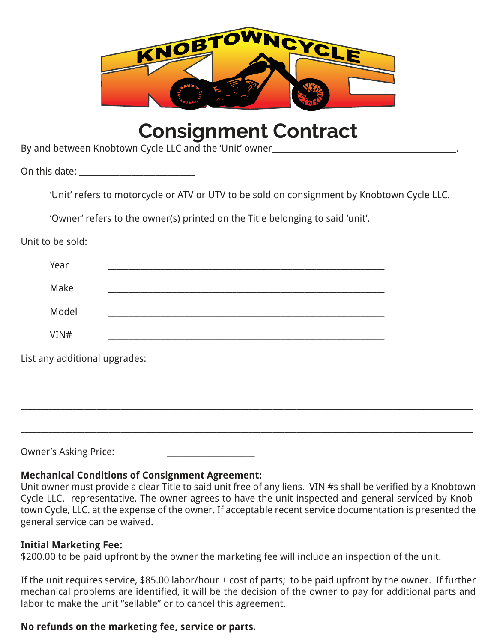

# **Consignment Contract**

By and between Knobtown Cycle LLC and the 'Unit' owner

On this date:  $\Box$ 

'Unit' refers to motorcycle or ATV or UTV to be sold on consignment by Knobtown Cycle LLC.

'Owner' refers to the owner(s) printed on the Title belonging to said 'unit'.

Unit to be sold:

|                               | Year  |  |  |  |  |  |  |  |
|-------------------------------|-------|--|--|--|--|--|--|--|
|                               | Make  |  |  |  |  |  |  |  |
|                               | Model |  |  |  |  |  |  |  |
|                               | VIN#  |  |  |  |  |  |  |  |
| List any additional upgrades: |       |  |  |  |  |  |  |  |
|                               |       |  |  |  |  |  |  |  |
|                               |       |  |  |  |  |  |  |  |
|                               |       |  |  |  |  |  |  |  |
|                               |       |  |  |  |  |  |  |  |

Owner's Asking Price:

## **Mechanical Conditions of Consignment Agreement:**

Unit owner must provide a clear Title to said unit free of any liens. VIN #s shall be verified by a Knobtown Cycle LLC. representative. The owner agrees to have the unit inspected and general serviced by Knobtown Cycle, LLC. at the expense of the owner. If acceptable recent service documentation is presented the general service can be waived.

## **Initial Marketing Fee:**

\$200.00 to be paid upfront by the owner the marketing fee will include an inspection of the unit.

If the unit requires service, \$85.00 labor/hour + cost of parts; to be paid upfront by the owner. If further mechanical problems are identified, it will be the decision of the owner to pay for additional parts and labor to make the unit "sellable" or to cancel this agreement.

## **No refunds on the marketing fee, service or parts.**